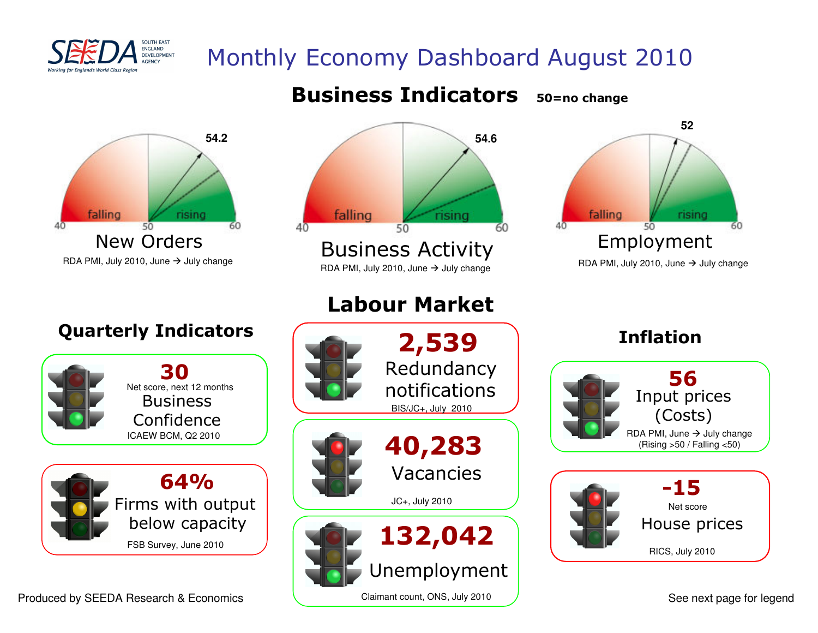

# Monthly Economy Dashboard August 2010

### Business Indicators50=no change





# RDA PMI, July 2010, June  $\rightarrow$



Quarterly Indicators



## Labour Market





See next page for legend